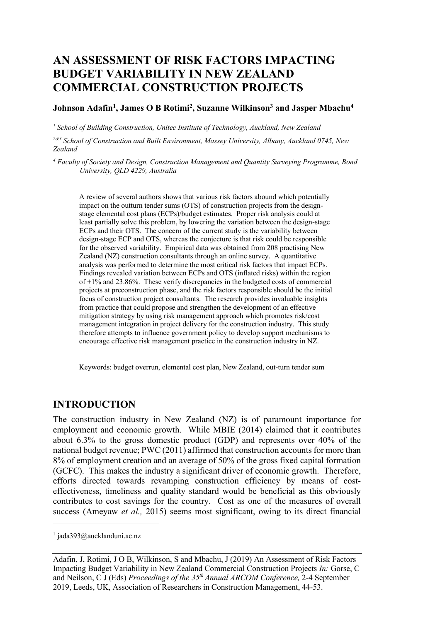# **AN ASSESSMENT OF RISK FACTORS IMPACTING BUDGET VARIABILITY IN NEW ZEALAND COMMERCIAL CONSTRUCTION PROJECTS**

#### **Johnson Adafin1 , James O B Rotimi2 , Suzanne Wilkinson3 and Jasper Mbachu4**

*<sup>1</sup> School of Building Construction, Unitec Institute of Technology, Auckland, New Zealand*

*2&3 School of Construction and Built Environment, Massey University, Albany, Auckland 0745, New Zealand*

*<sup>4</sup> Faculty of Society and Design, Construction Management and Quantity Surveying Programme, Bond University, QLD 4229, Australia*

A review of several authors shows that various risk factors abound which potentially impact on the outturn tender sums (OTS) of construction projects from the designstage elemental cost plans (ECPs)/budget estimates. Proper risk analysis could at least partially solve this problem, by lowering the variation between the design-stage ECPs and their OTS. The concern of the current study is the variability between design-stage ECP and OTS, whereas the conjecture is that risk could be responsible for the observed variability. Empirical data was obtained from 208 practising New Zealand (NZ) construction consultants through an online survey. A quantitative analysis was performed to determine the most critical risk factors that impact ECPs. Findings revealed variation between ECPs and OTS (inflated risks) within the region of  $+1\%$  and 23.86%. These verify discrepancies in the budgeted costs of commercial projects at preconstruction phase, and the risk factors responsible should be the initial focus of construction project consultants. The research provides invaluable insights from practice that could propose and strengthen the development of an effective mitigation strategy by using risk management approach which promotes risk/cost management integration in project delivery for the construction industry. This study therefore attempts to influence government policy to develop support mechanisms to encourage effective risk management practice in the construction industry in NZ.

Keywords: budget overrun, elemental cost plan, New Zealand, out-turn tender sum

### **INTRODUCTION**

The construction industry in New Zealand (NZ) is of paramount importance for employment and economic growth. While MBIE (2014) claimed that it contributes about 6.3% to the gross domestic product (GDP) and represents over 40% of the national budget revenue; PWC (2011) affirmed that construction accounts for more than 8% of employment creation and an average of 50% of the gross fixed capital formation (GCFC). This makes the industry a significant driver of economic growth. Therefore, efforts directed towards revamping construction efficiency by means of costeffectiveness, timeliness and quality standard would be beneficial as this obviously contributes to cost savings for the country. Cost as one of the measures of overall success (Ameyaw *et al.,* 2015) seems most significant, owing to its direct financial

 $1$  jada393@aucklanduni.ac.nz

Adafin, J, Rotimi, J O B, Wilkinson, S and Mbachu, J (2019) An Assessment of Risk Factors Impacting Budget Variability in New Zealand Commercial Construction Projects *In:* Gorse, C and Neilson, C J (Eds) *Proceedings of the 35th Annual ARCOM Conference,* 2-4 September 2019, Leeds, UK, Association of Researchers in Construction Management, 44-53.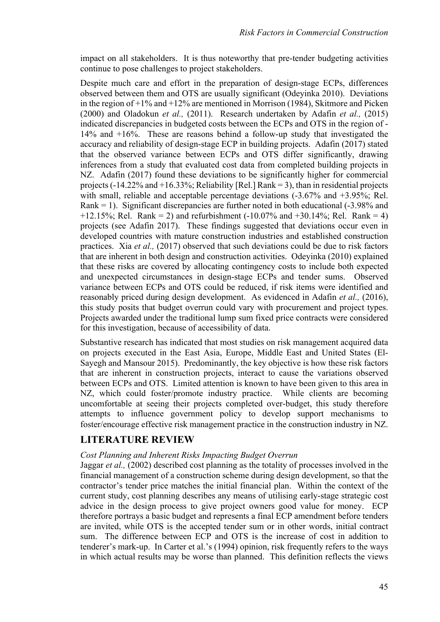impact on all stakeholders. It is thus noteworthy that pre-tender budgeting activities continue to pose challenges to project stakeholders.

Despite much care and effort in the preparation of design-stage ECPs, differences observed between them and OTS are usually significant (Odeyinka 2010). Deviations in the region of +1% and +12% are mentioned in Morrison (1984), Skitmore and Picken (2000) and Oladokun *et al.,* (2011). Research undertaken by Adafin *et al.,* (2015) indicated discrepancies in budgeted costs between the ECPs and OTS in the region of - 14% and +16%. These are reasons behind a follow-up study that investigated the accuracy and reliability of design-stage ECP in building projects. Adafin (2017) stated that the observed variance between ECPs and OTS differ significantly, drawing inferences from a study that evaluated cost data from completed building projects in NZ. Adafin (2017) found these deviations to be significantly higher for commercial projects (-14.22% and  $+16.33\%$ ; Reliability [Rel.] Rank = 3), than in residential projects with small, reliable and acceptable percentage deviations (-3.67% and +3.95%; Rel. Rank  $= 1$ ). Significant discrepancies are further noted in both educational  $(-3.98\%$  and +12.15%; Rel. Rank = 2) and refurbishment  $(-10.07\%$  and  $+30.14\%$ ; Rel. Rank = 4) projects (see Adafin 2017). These findings suggested that deviations occur even in developed countries with mature construction industries and established construction practices. Xia *et al.,* (2017) observed that such deviations could be due to risk factors that are inherent in both design and construction activities. Odeyinka (2010) explained that these risks are covered by allocating contingency costs to include both expected and unexpected circumstances in design-stage ECPs and tender sums. Observed variance between ECPs and OTS could be reduced, if risk items were identified and reasonably priced during design development. As evidenced in Adafin *et al.,* (2016), this study posits that budget overrun could vary with procurement and project types. Projects awarded under the traditional lump sum fixed price contracts were considered for this investigation, because of accessibility of data.

Substantive research has indicated that most studies on risk management acquired data on projects executed in the East Asia, Europe, Middle East and United States (El-Sayegh and Mansour 2015). Predominantly, the key objective is how these risk factors that are inherent in construction projects, interact to cause the variations observed between ECPs and OTS. Limited attention is known to have been given to this area in NZ, which could foster/promote industry practice. While clients are becoming uncomfortable at seeing their projects completed over-budget, this study therefore attempts to influence government policy to develop support mechanisms to foster/encourage effective risk management practice in the construction industry in NZ.

### **LITERATURE REVIEW**

#### *Cost Planning and Inherent Risks Impacting Budget Overrun*

Jaggar *et al.,* (2002) described cost planning as the totality of processes involved in the financial management of a construction scheme during design development, so that the contractor's tender price matches the initial financial plan. Within the context of the current study, cost planning describes any means of utilising early-stage strategic cost advice in the design process to give project owners good value for money. ECP therefore portrays a basic budget and represents a final ECP amendment before tenders are invited, while OTS is the accepted tender sum or in other words, initial contract sum. The difference between ECP and OTS is the increase of cost in addition to tenderer's mark-up. In Carter et al.'s (1994) opinion, risk frequently refers to the ways in which actual results may be worse than planned. This definition reflects the views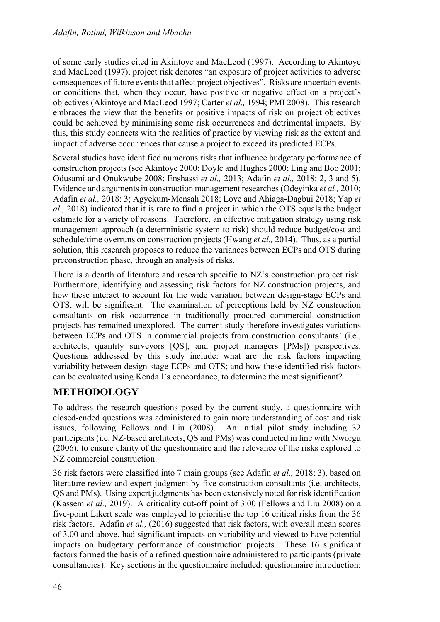of some early studies cited in Akintoye and MacLeod (1997). According to Akintoye and MacLeod (1997), project risk denotes "an exposure of project activities to adverse consequences of future events that affect project objectives". Risks are uncertain events or conditions that, when they occur, have positive or negative effect on a project's objectives (Akintoye and MacLeod 1997; Carter *et al.,* 1994; PMI 2008). This research embraces the view that the benefits or positive impacts of risk on project objectives could be achieved by minimising some risk occurrences and detrimental impacts. By this, this study connects with the realities of practice by viewing risk as the extent and impact of adverse occurrences that cause a project to exceed its predicted ECPs.

Several studies have identified numerous risks that influence budgetary performance of construction projects (see Akintoye 2000; Doyle and Hughes 2000; Ling and Boo 2001; Odusami and Onukwube 2008; Enshassi *et al.,* 2013; Adafin *et al.,* 2018: 2, 3 and 5). Evidence and arguments in construction management researches(Odeyinka *et al.,* 2010; Adafin *et al.,* 2018: 3; Agyekum-Mensah 2018; Love and Ahiaga-Dagbui 2018; Yap *et al.,* 2018) indicated that it is rare to find a project in which the OTS equals the budget estimate for a variety of reasons. Therefore, an effective mitigation strategy using risk management approach (a deterministic system to risk) should reduce budget/cost and schedule/time overruns on construction projects (Hwang *et al.,* 2014). Thus, as a partial solution, this research proposes to reduce the variances between ECPs and OTS during preconstruction phase, through an analysis of risks.

There is a dearth of literature and research specific to NZ's construction project risk. Furthermore, identifying and assessing risk factors for NZ construction projects, and how these interact to account for the wide variation between design-stage ECPs and OTS, will be significant. The examination of perceptions held by NZ construction consultants on risk occurrence in traditionally procured commercial construction projects has remained unexplored. The current study therefore investigates variations between ECPs and OTS in commercial projects from construction consultants' (i.e., architects, quantity surveyors [QS], and project managers [PMs]) perspectives. Questions addressed by this study include: what are the risk factors impacting variability between design-stage ECPs and OTS; and how these identified risk factors can be evaluated using Kendall's concordance, to determine the most significant?

## **METHODOLOGY**

To address the research questions posed by the current study, a questionnaire with closed-ended questions was administered to gain more understanding of cost and risk issues, following Fellows and Liu (2008). An initial pilot study including 32 participants (i.e. NZ-based architects, QS and PMs) was conducted in line with Nworgu (2006), to ensure clarity of the questionnaire and the relevance of the risks explored to NZ commercial construction.

36 risk factors were classified into 7 main groups (see Adafin *et al.,* 2018: 3), based on literature review and expert judgment by five construction consultants (i.e. architects, QS and PMs). Using expert judgments has been extensively noted for risk identification (Kassem *et al.,* 2019). A criticality cut-off point of 3.00 (Fellows and Liu 2008) on a five-point Likert scale was employed to prioritise the top 16 critical risks from the 36 risk factors. Adafin *et al.,* (2016) suggested that risk factors, with overall mean scores of 3.00 and above, had significant impacts on variability and viewed to have potential impacts on budgetary performance of construction projects. These 16 significant factors formed the basis of a refined questionnaire administered to participants (private consultancies). Key sections in the questionnaire included: questionnaire introduction;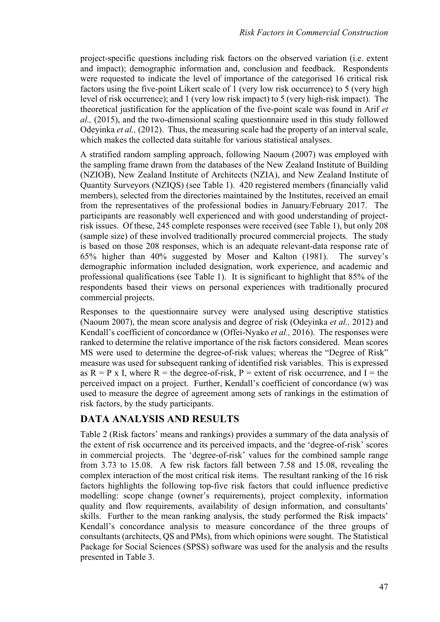project-specific questions including risk factors on the observed variation (i.e. extent and impact); demographic information and, conclusion and feedback. Respondents were requested to indicate the level of importance of the categorised 16 critical risk factors using the five-point Likert scale of 1 (very low risk occurrence) to 5 (very high level of risk occurrence); and 1 (very low risk impact) to 5 (very high-risk impact). The theoretical justification for the application of the five-point scale was found in Arif *et al.,* (2015), and the two-dimensional scaling questionnaire used in this study followed Odeyinka *et al.*, (2012). Thus, the measuring scale had the property of an interval scale, which makes the collected data suitable for various statistical analyses.

A stratified random sampling approach, following Naoum (2007) was employed with the sampling frame drawn from the databases of the New Zealand Institute of Building (NZIOB), New Zealand Institute of Architects (NZIA), and New Zealand Institute of Quantity Surveyors (NZIQS) (see Table 1). 420 registered members (financially valid members), selected from the directories maintained by the Institutes, received an email from the representatives of the professional bodies in January/February 2017. The participants are reasonably well experienced and with good understanding of projectrisk issues. Of these, 245 complete responses were received (see Table 1), but only 208 (sample size) of these involved traditionally procured commercial projects. The study is based on those 208 responses, which is an adequate relevant-data response rate of 65% higher than 40% suggested by Moser and Kalton (1981). The survey's demographic information included designation, work experience, and academic and professional qualifications (see Table 1). It is significant to highlight that 85% of the respondents based their views on personal experiences with traditionally procured commercial projects.

Responses to the questionnaire survey were analysed using descriptive statistics (Naoum 2007), the mean score analysis and degree of risk (Odeyinka *et al.,* 2012) and Kendall's coefficient of concordance w (Offei-Nyako *et al.,* 2016). The responses were ranked to determine the relative importance of the risk factors considered. Mean scores MS were used to determine the degree-of-risk values; whereas the "Degree of Risk" measure was used for subsequent ranking of identified risk variables. This is expressed as  $R = P x I$ , where  $R =$  the degree-of-risk,  $P =$  extent of risk occurrence, and I = the perceived impact on a project. Further, Kendall's coefficient of concordance (w) was used to measure the degree of agreement among sets of rankings in the estimation of risk factors, by the study participants.

## **DATA ANALYSIS AND RESULTS**

Table 2 (Risk factors' means and rankings) provides a summary of the data analysis of the extent of risk occurrence and its perceived impacts, and the 'degree-of-risk' scores in commercial projects. The 'degree-of-risk' values for the combined sample range from 3.73 to 15.08. A few risk factors fall between 7.58 and 15.08, revealing the complex interaction of the most critical risk items. The resultant ranking of the 16 risk factors highlights the following top-five risk factors that could influence predictive modelling: scope change (owner's requirements), project complexity, information quality and flow requirements, availability of design information, and consultants' skills. Further to the mean ranking analysis, the study performed the Risk impacts' Kendall's concordance analysis to measure concordance of the three groups of consultants (architects, QS and PMs), from which opinions were sought. The Statistical Package for Social Sciences (SPSS) software was used for the analysis and the results presented in Table 3.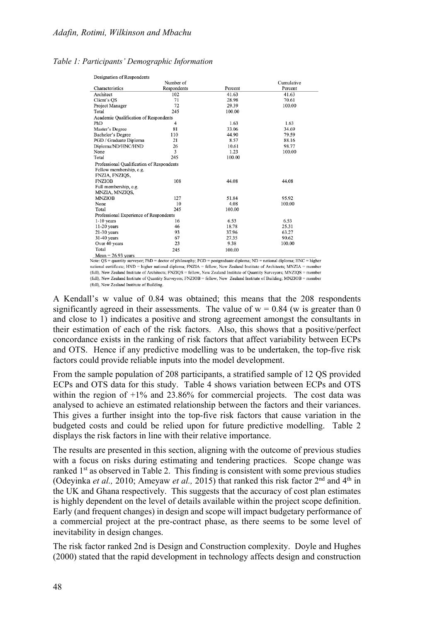#### *Table 1: Participants' Demographic Information*

| Designation of Respondents                |             |         |            |  |  |  |  |  |  |
|-------------------------------------------|-------------|---------|------------|--|--|--|--|--|--|
|                                           | Number of   |         | Cumulative |  |  |  |  |  |  |
| Characteristics                           | Respondents | Percent | Percent    |  |  |  |  |  |  |
| Architect                                 | 102         | 41.63   | 41.63      |  |  |  |  |  |  |
| Client's OS                               | 71          | 28.98   | 70.61      |  |  |  |  |  |  |
| Project Manager                           | 72          | 29.39   | 100.00     |  |  |  |  |  |  |
| Total                                     | 245         | 100.00  |            |  |  |  |  |  |  |
| Academic Qualification of Respondents     |             |         |            |  |  |  |  |  |  |
| PhD                                       | 4           | 1.63    | 1.63       |  |  |  |  |  |  |
| Master's Degree                           | 81          | 33.06   | 34.69      |  |  |  |  |  |  |
| Bachelor's Degree                         | 110         | 44.90   | 79.59      |  |  |  |  |  |  |
| PGD / Graduate Diploma                    | 21          | 8.57    | 88.16      |  |  |  |  |  |  |
| Diploma/ND/HNC/HND                        | 26          | 10.61   | 98.77      |  |  |  |  |  |  |
| None                                      | 3           | 1.23    | 100.00     |  |  |  |  |  |  |
| Total                                     | 245         | 100.00  |            |  |  |  |  |  |  |
| Professional Qualification of Respondents |             |         |            |  |  |  |  |  |  |
| Fellow membership, e.g.                   |             |         |            |  |  |  |  |  |  |
| FNZIA, FNZIOS,                            |             |         |            |  |  |  |  |  |  |
| <b>FNZIOB</b>                             | 108         | 44.08   | 44.08      |  |  |  |  |  |  |
| Full membership, e.g.                     |             |         |            |  |  |  |  |  |  |
| MNZIA, MNZIQS,                            |             |         |            |  |  |  |  |  |  |
| <b>MNZIOB</b>                             | 127         | 51.84   | 95.92      |  |  |  |  |  |  |
| None                                      | 10          | 4.08    | 100.00     |  |  |  |  |  |  |
| Total                                     | 245         | 100.00  |            |  |  |  |  |  |  |
| Professional Experience of Respondents    |             |         |            |  |  |  |  |  |  |
| $1-10$ years                              | 16          | 6.53    | 6.53       |  |  |  |  |  |  |
| $11-20$ years                             | 46          | 18.78   | 25.31      |  |  |  |  |  |  |
| $21-30$ vears                             | 93          | 37.96   | 63.27      |  |  |  |  |  |  |
| $31-40$ years                             | 67          | 27.35   | 90.62      |  |  |  |  |  |  |
| Over 40 years                             | 23          | 9.38    | 100.00     |  |  |  |  |  |  |
| Total                                     | 245         | 100.00  |            |  |  |  |  |  |  |
| $Mean = 26.93$ years                      |             |         |            |  |  |  |  |  |  |

Note: QS = quantity surveyor; PhD = doctor of philosophy; PGD = postgraduate diploma; ND = national diploma; HNC = higher national certificate:  $HND =$  higher national diploma:  $FNZIA =$  fellow. New Zealand Institute of Architects:  $MNZIA =$  member (full). New Zealand Institute of Architects: FNZIOS = fellow. New Zealand Institute of Ouantity Surveyors: MNZIOS = member (full), New Zealand Institute of Quantity Surveyors; FNZIOB = fellow, New Zealand Institute of Building; MNZIOB = member (full). New Zealand Institute of Building.

A Kendall's w value of 0.84 was obtained; this means that the 208 respondents significantly agreed in their assessments. The value of  $w = 0.84$  (w is greater than 0 and close to 1) indicates a positive and strong agreement amongst the consultants in their estimation of each of the risk factors. Also, this shows that a positive/perfect concordance exists in the ranking of risk factors that affect variability between ECPs and OTS. Hence if any predictive modelling was to be undertaken, the top-five risk factors could provide reliable inputs into the model development.

From the sample population of 208 participants, a stratified sample of 12 QS provided ECPs and OTS data for this study. Table 4 shows variation between ECPs and OTS within the region of  $+1\%$  and 23.86% for commercial projects. The cost data was analysed to achieve an estimated relationship between the factors and their variances. This gives a further insight into the top-five risk factors that cause variation in the budgeted costs and could be relied upon for future predictive modelling. Table 2 displays the risk factors in line with their relative importance.

The results are presented in this section, aligning with the outcome of previous studies with a focus on risks during estimating and tendering practices. Scope change was ranked  $1<sup>st</sup>$  as observed in Table 2. This finding is consistent with some previous studies (Odeyinka *et al.*, 2010; Ameyaw *et al.*, 2015) that ranked this risk factor 2<sup>nd</sup> and 4<sup>th</sup> in the UK and Ghana respectively. This suggests that the accuracy of cost plan estimates is highly dependent on the level of details available within the project scope definition. Early (and frequent changes) in design and scope will impact budgetary performance of a commercial project at the pre-contract phase, as there seems to be some level of inevitability in design changes.

The risk factor ranked 2nd is Design and Construction complexity. Doyle and Hughes (2000) stated that the rapid development in technology affects design and construction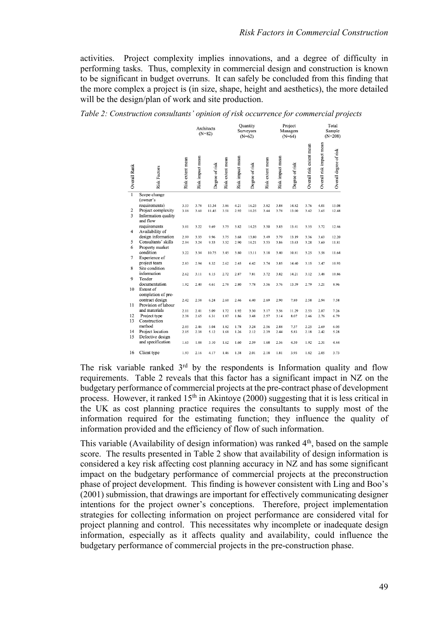activities. Project complexity implies innovations, and a degree of difficulty in performing tasks. Thus, complexity in commercial design and construction is known to be significant in budget overruns. It can safely be concluded from this finding that the more complex a project is (in size, shape, height and aesthetics), the more detailed will be the design/plan of work and site production.

*Table 2: Construction consultants' opinion of risk occurrence for commercial projects*

|                                         |                                                                        |                  |                  | Architects<br>$(N=82)$ |                  |                  | Ouantity<br>Surveyors<br>$(N=62)$ |                  |                  | Project<br>Managers<br>$(N=64)$ |                          |                          | Total<br>Sample<br>$(N=208)$ |
|-----------------------------------------|------------------------------------------------------------------------|------------------|------------------|------------------------|------------------|------------------|-----------------------------------|------------------|------------------|---------------------------------|--------------------------|--------------------------|------------------------------|
| Overall Rank                            | <b>Risk Factors</b>                                                    | Risk extent mean | Risk impact mean | Degree of risk         | Risk extent mean | Risk impact mean | Degree of risk                    | Risk extent mean | Risk impact mean | Degree of risk                  | Overall risk extent mean | Overall risk impact mean | Overall degree of risk       |
| $\overline{1}$                          | Scope change<br>(owner's                                               |                  |                  |                        |                  |                  |                                   |                  |                  |                                 |                          |                          |                              |
| $\mathbf{2}$<br>$\overline{\mathbf{3}}$ | requirements)<br>Project complexity<br>Information quality<br>and flow | 3.53<br>3.18     | 3.78<br>3.60     | 13.34<br>11.45         | 3.86<br>3.51     | 4.21<br>2.92     | 16.25<br>10.25                    | 3.82<br>3.44     | 3.88<br>3.78     | 14.82<br>13.00                  | 3.76<br>3.42             | 4.01<br>3.65             | 15.08<br>12.48               |
| $\overline{4}$                          | requirements<br>Availability of                                        | 3.01             | 3.22             | 9.69                   | 3.73             | 3.82             | 14.25                             | 3.50             | 3.83             | 13.41                           | 3.35                     | 3.72                     | 12.46                        |
|                                         | design information                                                     | 2.99             | 3.33             | 9.96                   | 3.75             | 3.68             | 13.80                             | 3.49             | 3.79             | 13.19                           | 3.36                     | 3.63                     | 12.20                        |
| 5                                       | Consultants' skills                                                    | 2.94             | 3.24             | 9.53                   | 3.52             | 2.90             | 10.21                             | 3.53             | 3.86             | 13.63                           | 3.28                     | 3.60                     | 11.81                        |
| 6                                       | Property market                                                        |                  |                  |                        |                  |                  |                                   |                  |                  |                                 |                          |                          |                              |
| $\overline{7}$                          | condition<br>Experience of                                             | 3.22             | 3.34             | 10.75                  | 3.45             | 3.80             | 13.11                             | 3.18             | 3.40             | 10.81                           | 3.25                     | 3.58                     | 11.64                        |
| 8                                       | project team<br>Site condition                                         | 2.83             | 2.94             | 8.32                   | 2.62             | 2.45             | 6.42                              | 3.74             | 3.85             | 14.40                           | 3.15                     | 3.47                     | 10.93                        |
|                                         | information                                                            | 2.62             | 3.11             | 8.15                   | 2.72             | 2.87             | 7.81                              | 3.72             | 3.82             | 14.21                           | 3.12                     | 3.48                     | 10.86                        |
| 9                                       | Tender                                                                 |                  |                  |                        |                  |                  |                                   |                  |                  |                                 |                          |                          |                              |
|                                         | documentation                                                          | 1.92             | 2.40             | 4.61                   | 2.78             | 2.80             | 7.78                              | 3.56             | 3.76             | 13.39                           | 2.79                     | 3.21                     | 8.96                         |
| 10                                      | Extent of<br>completion of pre-                                        |                  |                  |                        |                  |                  |                                   |                  |                  |                                 |                          |                          |                              |
|                                         | contract design                                                        | 2.42             | 2.58             | 6.24                   | 2.60             | 2.46             | 6.40                              | 2.69             | 2.90             | 7.80                            | 2.58                     | 2.94                     | 7.58                         |
| 11                                      | Provision of labour                                                    |                  |                  |                        |                  |                  |                                   |                  |                  |                                 |                          |                          |                              |
|                                         | and materials                                                          | 2.11             | 2.41             | 5.09                   | 1.72             | 1.92             | 3.30                              | 3.17             | 3.56             | 11.29                           | 2.53                     | 2.87                     | 7.26                         |
| 12                                      | Project type                                                           | 2.38             | 2.65             | 6.31                   | 1.87             | 1.86             | 3.48                              | 2.57             | 3.14             | 8.07                            | 2.46                     | 2.76                     | 6.79                         |
| 13                                      | Construction<br>method                                                 |                  |                  |                        |                  |                  |                                   |                  |                  |                                 |                          |                          |                              |
| 14                                      | Project location                                                       | 2.05<br>2.15     | 2.46<br>2.38     | 5.04<br>5.12           | 1.82<br>1.68     | 1.78<br>1.26     | 3.24<br>2.12                      | 2.56<br>2.39     | 2.88<br>2.44     | 7.37<br>5.83                    | 2.25<br>2.18             | 2.69<br>2.42             | 6.05<br>5.28                 |
| 15                                      | Defective design                                                       |                  |                  |                        |                  |                  |                                   |                  |                  |                                 |                          |                          |                              |
|                                         | and specification                                                      | 1.65             | 1.88             | 3.10                   | 1.62             | 1.60             | 2.59                              | 1.68             | 2.56             | 4.30                            | 1.92                     | 2.31                     | 4.44                         |
| 16                                      | Client type                                                            | 1.93             | 2.16             | 4.17                   | 1.46             | 1.38             | 2.01                              | 2.18             | 1.81             | 3.95                            | 1.82                     | 2.05                     | 3.73                         |

The risk variable ranked  $3<sup>rd</sup>$  by the respondents is Information quality and flow requirements. Table 2 reveals that this factor has a significant impact in NZ on the budgetary performance of commercial projects at the pre-contract phase of development process. However, it ranked 15<sup>th</sup> in Akintoye (2000) suggesting that it is less critical in the UK as cost planning practice requires the consultants to supply most of the information required for the estimating function; they influence the quality of information provided and the efficiency of flow of such information.

This variable (Availability of design information) was ranked  $4<sup>th</sup>$ , based on the sample score. The results presented in Table 2 show that availability of design information is considered a key risk affecting cost planning accuracy in NZ and has some significant impact on the budgetary performance of commercial projects at the preconstruction phase of project development. This finding is however consistent with Ling and Boo's (2001) submission, that drawings are important for effectively communicating designer intentions for the project owner's conceptions. Therefore, project implementation strategies for collecting information on project performance are considered vital for project planning and control. This necessitates why incomplete or inadequate design information, especially as it affects quality and availability, could influence the budgetary performance of commercial projects in the pre-construction phase.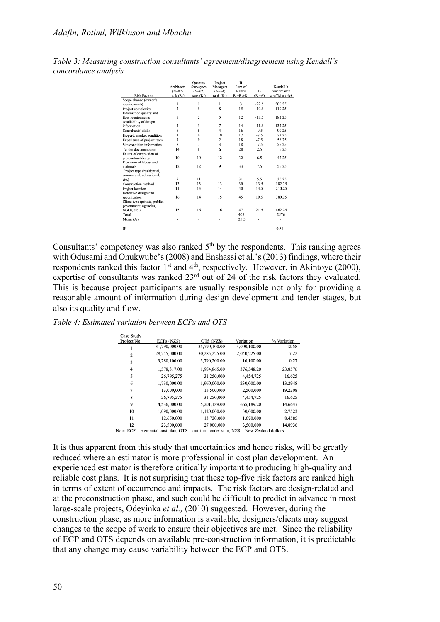|                                       | Architects<br>$(N=82)$ | Ouantity<br>Surveyors<br>$(N=62)$ | Project<br>Managers<br>$(N=64)$ | R<br>Sum of<br>Ranks | D       | Kendall's<br>concordance |
|---------------------------------------|------------------------|-----------------------------------|---------------------------------|----------------------|---------|--------------------------|
| <b>Risk Factors</b>                   | rank $(R_1)$           | rank $(R2)$                       | rank $(R_3)$                    | $R_1 + R_2 + R_3$    | $(R-A)$ | coefficient (w)          |
| Scope change (owner's                 |                        |                                   |                                 |                      |         |                          |
| requirements)                         | 1                      | 1                                 | 1                               | 3                    | $-22.5$ | 506.25                   |
| Project complexity                    | $\overline{c}$         | 5                                 | 8                               | 15                   | $-10.5$ | 110.25                   |
| Information quality and               |                        |                                   | 5                               |                      |         |                          |
| flow requirements                     | 5                      | $\overline{c}$                    |                                 | 12                   | $-13.5$ | 182.25                   |
| Availability of design<br>information | $\overline{4}$         | 3                                 | 7                               | 14                   | $-11.5$ | 132.25                   |
| Consultants' skills                   | 6                      | 6                                 | $\overline{\mathbf{4}}$         | 16                   | $-9.5$  | 90.25                    |
|                                       |                        |                                   |                                 |                      |         |                          |
| Property market condition             | 3                      | $\overline{4}$                    | 10                              | 17                   | $-8.5$  | 72.25                    |
| Experience of project team            | 7                      | 9                                 | $\boldsymbol{2}$                | 18                   | $-7.5$  | 56.25                    |
| Site condition information            | 8                      | 7                                 | 3                               | 18                   | $-7.5$  | 56.25                    |
| Tender documentation                  | 14                     | 8                                 | 6                               | 28                   | 2.5     | 6.25                     |
| Extent of completion of               |                        |                                   |                                 |                      |         |                          |
| pre-contract design                   | 10                     | 10                                | 12                              | 32                   | 6.5     | 42.25                    |
| Provision of labour and               |                        |                                   |                                 |                      |         |                          |
| materials                             | 12                     | 12                                | 9                               | 33                   | 7.5     | 56.25                    |
| Project type (residential,            |                        |                                   |                                 |                      |         |                          |
| commercial, educational,              | 9                      | 11                                | 11                              | 31                   | 5.5     | 30.25                    |
| etc.)                                 |                        |                                   |                                 |                      |         |                          |
| Construction method                   | 13                     | 13                                | 13                              | 39                   | 13.5    | 182.25                   |
| Project location                      | 11                     | 15                                | 14                              | 40                   | 14.5    | 210.25                   |
| Defective design and                  |                        |                                   |                                 |                      |         |                          |
| specification                         | 16                     | 14                                | 15                              | 45                   | 19.5    | 380.25                   |
| Client type (private, public,         |                        |                                   |                                 |                      |         |                          |
| government, agencies,                 |                        | 16                                | 16                              |                      |         |                          |
| NGOs, etc.)                           | 15                     |                                   |                                 | 47                   | 21.5    | 462.25                   |
| Total                                 | ٠                      | ٠                                 |                                 | 408                  | ٠       | 2576                     |
| Mean $(A)$                            |                        |                                   |                                 | 25.5                 |         |                          |
| W                                     |                        |                                   |                                 |                      |         | 0.84                     |

*Table 3: Measuring construction consultants' agreement/disagreement using Kendall's concordance analysis*

Consultants' competency was also ranked  $5<sup>th</sup>$  by the respondents. This ranking agrees with Odusami and Onukwube's (2008) and Enshassi et al.'s (2013) findings, where their respondents ranked this factor  $1<sup>st</sup>$  and  $4<sup>th</sup>$ , respectively. However, in Akintoye (2000), expertise of consultants was ranked  $23<sup>rd</sup>$  out of 24 of the risk factors they evaluated. This is because project participants are usually responsible not only for providing a reasonable amount of information during design development and tender stages, but also its quality and flow.

*Table 4: Estimated variation between ECPs and OTS*

| Case Study  |               |               |              |             |
|-------------|---------------|---------------|--------------|-------------|
| Project No. | ECPs (NZ\$)   | OTS (NZ\$)    | Variation    | % Variation |
|             | 31,790,000.00 | 35,790,100.00 | 4,000,100.00 | 12.58       |
| 2           | 28,245,000.00 | 30,285,225.00 | 2,040,225.00 | 7.22        |
| 3           | 3,780,100.00  | 3,790,200.00  | 10,100.00    | 0.27        |
| 4           | 1,578,317.00  | 1,954,865.00  | 376,548.20   | 23.8576     |
| 5           | 26,795,275    | 31,250,000    | 4,454,725    | 16.625      |
| 6           | 1,730,000.00  | 1,960,000.00  | 230,000.00   | 13.2948     |
| 7           | 13,000,000    | 15,500,000    | 2,500,000    | 19.2308     |
| 8           | 26,795,275    | 31,250,000    | 4,454,725    | 16.625      |
| 9           | 4,536,000.00  | 5,201,189.00  | 665,189.20   | 14.6647     |
| 10          | 1,090,000.00  | 1,120,000.00  | 30,000.00    | 2.7523      |
| 11          | 12,650,000    | 13,720,000    | 1,070,000    | 8.4585      |
| 12          | 23,500,000    | 27,000,000    | 3,500,000    | 14.8936     |
|             |               |               |              |             |

Note: ECP = elemental cost plan; OTS = out-turn tender sum; NZ\$ = New Zealand dollars

It is thus apparent from this study that uncertainties and hence risks, will be greatly reduced where an estimator is more professional in cost plan development. An experienced estimator is therefore critically important to producing high-quality and reliable cost plans. It is not surprising that these top-five risk factors are ranked high in terms of extent of occurrence and impacts. The risk factors are design-related and at the preconstruction phase, and such could be difficult to predict in advance in most large-scale projects, Odeyinka *et al.,* (2010) suggested. However, during the construction phase, as more information is available, designers/clients may suggest changes to the scope of work to ensure their objectives are met. Since the reliability of ECP and OTS depends on available pre-construction information, it is predictable that any change may cause variability between the ECP and OTS.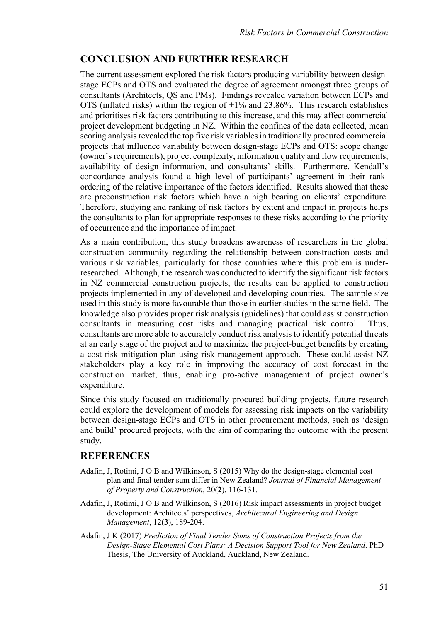## **CONCLUSION AND FURTHER RESEARCH**

The current assessment explored the risk factors producing variability between designstage ECPs and OTS and evaluated the degree of agreement amongst three groups of consultants (Architects, QS and PMs). Findings revealed variation between ECPs and OTS (inflated risks) within the region of  $+1\%$  and 23.86%. This research establishes and prioritises risk factors contributing to this increase, and this may affect commercial project development budgeting in NZ. Within the confines of the data collected, mean scoring analysis revealed the top five risk variables in traditionally procured commercial projects that influence variability between design-stage ECPs and OTS: scope change (owner's requirements), project complexity, information quality and flow requirements, availability of design information, and consultants' skills. Furthermore, Kendall's concordance analysis found a high level of participants' agreement in their rankordering of the relative importance of the factors identified. Results showed that these are preconstruction risk factors which have a high bearing on clients' expenditure. Therefore, studying and ranking of risk factors by extent and impact in projects helps the consultants to plan for appropriate responses to these risks according to the priority of occurrence and the importance of impact.

As a main contribution, this study broadens awareness of researchers in the global construction community regarding the relationship between construction costs and various risk variables, particularly for those countries where this problem is underresearched. Although, the research was conducted to identify the significant risk factors in NZ commercial construction projects, the results can be applied to construction projects implemented in any of developed and developing countries. The sample size used in this study is more favourable than those in earlier studies in the same field. The knowledge also provides proper risk analysis (guidelines) that could assist construction consultants in measuring cost risks and managing practical risk control. Thus, consultants are more able to accurately conduct risk analysis to identify potential threats at an early stage of the project and to maximize the project-budget benefits by creating a cost risk mitigation plan using risk management approach. These could assist NZ stakeholders play a key role in improving the accuracy of cost forecast in the construction market; thus, enabling pro-active management of project owner's expenditure.

Since this study focused on traditionally procured building projects, future research could explore the development of models for assessing risk impacts on the variability between design-stage ECPs and OTS in other procurement methods, such as 'design and build' procured projects, with the aim of comparing the outcome with the present study.

### **REFERENCES**

- Adafin, J, Rotimi, J O B and Wilkinson, S (2015) Why do the design-stage elemental cost plan and final tender sum differ in New Zealand? *Journal of Financial Management of Property and Construction*, 20(**2**), 116-131.
- Adafin, J, Rotimi, J O B and Wilkinson, S (2016) Risk impact assessments in project budget development: Architects' perspectives, *Architecural Engineering and Design Management*, 12(**3**), 189-204.
- Adafin, J K (2017) *Prediction of Final Tender Sums of Construction Projects from the Design-Stage Elemental Cost Plans: A Decision Support Tool for New Zealand*. PhD Thesis, The University of Auckland, Auckland, New Zealand.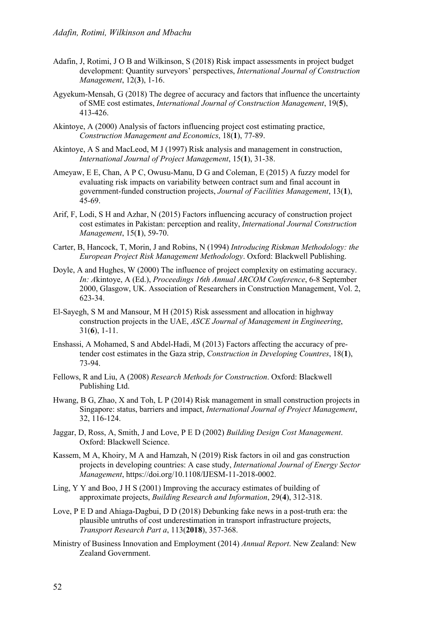- Adafin, J, Rotimi, J O B and Wilkinson, S (2018) Risk impact assessments in project budget development: Quantity surveyors' perspectives, *International Journal of Construction Management*, 12(**3**), 1-16.
- Agyekum-Mensah, G (2018) The degree of accuracy and factors that influence the uncertainty of SME cost estimates, *International Journal of Construction Management*, 19(**5**), 413-426.
- Akintoye, A (2000) Analysis of factors influencing project cost estimating practice, *Construction Management and Economics*, 18(**1**), 77-89.
- Akintoye, A S and MacLeod, M J (1997) Risk analysis and management in construction, *International Journal of Project Management*, 15(**1**), 31-38.
- Ameyaw, E E, Chan, A P C, Owusu-Manu, D G and Coleman, E (2015) A fuzzy model for evaluating risk impacts on variability between contract sum and final account in government-funded construction projects, *Journal of Facilities Management*, 13(**1**), 45-69.
- Arif, F, Lodi, S H and Azhar, N (2015) Factors influencing accuracy of construction project cost estimates in Pakistan: perception and reality, *International Journal Construction Management*, 15(**1**), 59-70.
- Carter, B, Hancock, T, Morin, J and Robins, N (1994) *Introducing Riskman Methodology: the European Project Risk Management Methodology*. Oxford: Blackwell Publishing.
- Doyle, A and Hughes, W (2000) The influence of project complexity on estimating accuracy. *In: A*kintoye, A (Ed.), *Proceedings 16th Annual ARCOM Conference*, 6-8 September 2000, Glasgow, UK. Association of Researchers in Construction Management, Vol. 2, 623-34.
- El-Sayegh, S M and Mansour, M H (2015) Risk assessment and allocation in highway construction projects in the UAE, *ASCE Journal of Management in Engineering*, 31(**6**), 1-11.
- Enshassi, A Mohamed, S and Abdel-Hadi, M (2013) Factors affecting the accuracy of pretender cost estimates in the Gaza strip, *Construction in Developing Countres*, 18(**1**), 73-94.
- Fellows, R and Liu, A (2008) *Research Methods for Construction*. Oxford: Blackwell Publishing Ltd.
- Hwang, B G, Zhao, X and Toh, L P (2014) Risk management in small construction projects in Singapore: status, barriers and impact, *International Journal of Project Management*, 32, 116-124.
- Jaggar, D, Ross, A, Smith, J and Love, P E D (2002) *Building Design Cost Management*. Oxford: Blackwell Science.
- Kassem, M A, Khoiry, M A and Hamzah, N (2019) Risk factors in oil and gas construction projects in developing countries: A case study, *International Journal of Energy Sector Management*, https://doi.org/10.1108/IJESM-11-2018-0002.
- Ling, Y Y and Boo, J H S (2001) Improving the accuracy estimates of building of approximate projects, *Building Research and Information*, 29(**4**), 312-318.
- Love, P E D and Ahiaga-Dagbui, D D (2018) Debunking fake news in a post-truth era: the plausible untruths of cost underestimation in transport infrastructure projects, *Transport Research Part a*, 113(**2018**), 357-368.
- Ministry of Business Innovation and Employment (2014) *Annual Report*. New Zealand: New Zealand Government.